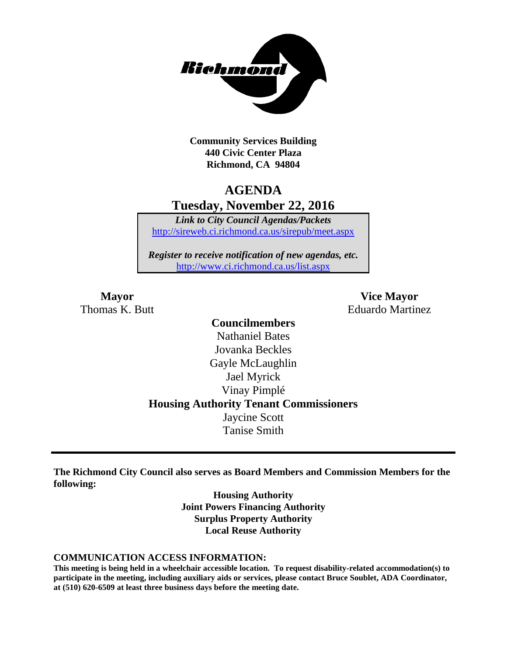

**Community Services Building 440 Civic Center Plaza Richmond, CA 94804**

## **AGENDA Tuesday, November 22, 2016**

*Link to City Council Agendas/Packets* <http://sireweb.ci.richmond.ca.us/sirepub/meet.aspx>

*Register to receive notification of new agendas, etc.* <http://www.ci.richmond.ca.us/list.aspx>

**Mayor Vice Mayor** Thomas K. Butt **Eduardo Martinez** 

### **Councilmembers** Nathaniel Bates Jovanka Beckles Gayle McLaughlin Jael Myrick Vinay Pimplé **Housing Authority Tenant Commissioners** Jaycine Scott Tanise Smith

**The Richmond City Council also serves as Board Members and Commission Members for the following:**

> **Housing Authority Joint Powers Financing Authority Surplus Property Authority Local Reuse Authority**

#### **COMMUNICATION ACCESS INFORMATION:**

**This meeting is being held in a wheelchair accessible location. To request disability-related accommodation(s) to participate in the meeting, including auxiliary aids or services, please contact Bruce Soublet, ADA Coordinator, at (510) 620-6509 at least three business days before the meeting date.**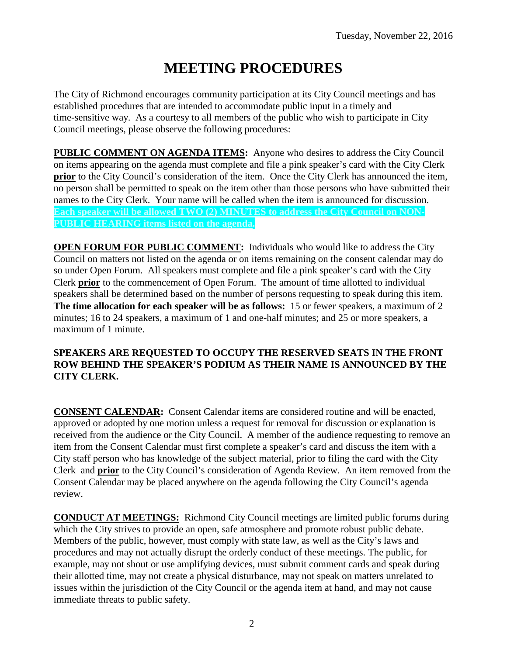# **MEETING PROCEDURES**

The City of Richmond encourages community participation at its City Council meetings and has established procedures that are intended to accommodate public input in a timely and time-sensitive way. As a courtesy to all members of the public who wish to participate in City Council meetings, please observe the following procedures:

**PUBLIC COMMENT ON AGENDA ITEMS:** Anyone who desires to address the City Council on items appearing on the agenda must complete and file a pink speaker's card with the City Clerk **prior** to the City Council's consideration of the item. Once the City Clerk has announced the item, no person shall be permitted to speak on the item other than those persons who have submitted their names to the City Clerk. Your name will be called when the item is announced for discussion. **Each speaker will be allowed TWO (2) MINUTES to address the City Council on NON-PUBLIC HEARING items listed on the agenda.**

**OPEN FORUM FOR PUBLIC COMMENT:** Individuals who would like to address the City Council on matters not listed on the agenda or on items remaining on the consent calendar may do so under Open Forum. All speakers must complete and file a pink speaker's card with the City Clerk **prior** to the commencement of Open Forum. The amount of time allotted to individual speakers shall be determined based on the number of persons requesting to speak during this item. **The time allocation for each speaker will be as follows:** 15 or fewer speakers, a maximum of 2 minutes; 16 to 24 speakers, a maximum of 1 and one-half minutes; and 25 or more speakers, a maximum of 1 minute.

#### **SPEAKERS ARE REQUESTED TO OCCUPY THE RESERVED SEATS IN THE FRONT ROW BEHIND THE SPEAKER'S PODIUM AS THEIR NAME IS ANNOUNCED BY THE CITY CLERK.**

**CONSENT CALENDAR:** Consent Calendar items are considered routine and will be enacted, approved or adopted by one motion unless a request for removal for discussion or explanation is received from the audience or the City Council. A member of the audience requesting to remove an item from the Consent Calendar must first complete a speaker's card and discuss the item with a City staff person who has knowledge of the subject material, prior to filing the card with the City Clerk and **prior** to the City Council's consideration of Agenda Review. An item removed from the Consent Calendar may be placed anywhere on the agenda following the City Council's agenda review.

**CONDUCT AT MEETINGS:** Richmond City Council meetings are limited public forums during which the City strives to provide an open, safe atmosphere and promote robust public debate. Members of the public, however, must comply with state law, as well as the City's laws and procedures and may not actually disrupt the orderly conduct of these meetings. The public, for example, may not shout or use amplifying devices, must submit comment cards and speak during their allotted time, may not create a physical disturbance, may not speak on matters unrelated to issues within the jurisdiction of the City Council or the agenda item at hand, and may not cause immediate threats to public safety.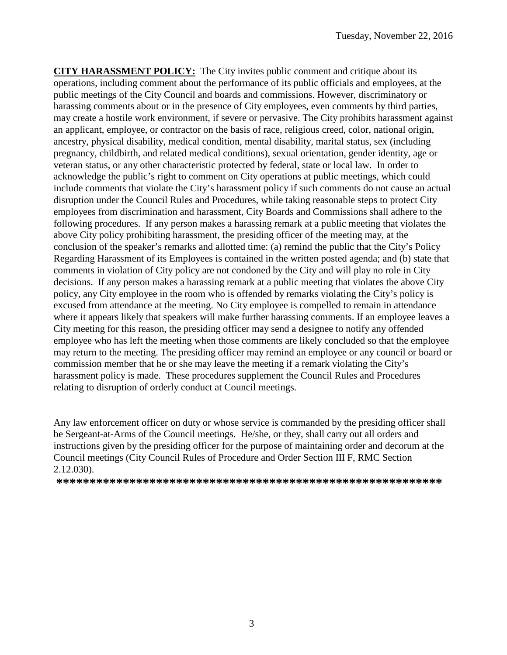**CITY HARASSMENT POLICY:** The City invites public comment and critique about its operations, including comment about the performance of its public officials and employees, at the public meetings of the City Council and boards and commissions. However, discriminatory or harassing comments about or in the presence of City employees, even comments by third parties, may create a hostile work environment, if severe or pervasive. The City prohibits harassment against an applicant, employee, or contractor on the basis of race, religious creed, color, national origin, ancestry, physical disability, medical condition, mental disability, marital status, sex (including pregnancy, childbirth, and related medical conditions), sexual orientation, gender identity, age or veteran status, or any other characteristic protected by federal, state or local law. In order to acknowledge the public's right to comment on City operations at public meetings, which could include comments that violate the City's harassment policy if such comments do not cause an actual disruption under the Council Rules and Procedures, while taking reasonable steps to protect City employees from discrimination and harassment, City Boards and Commissions shall adhere to the following procedures. If any person makes a harassing remark at a public meeting that violates the above City policy prohibiting harassment, the presiding officer of the meeting may, at the conclusion of the speaker's remarks and allotted time: (a) remind the public that the City's Policy Regarding Harassment of its Employees is contained in the written posted agenda; and (b) state that comments in violation of City policy are not condoned by the City and will play no role in City decisions. If any person makes a harassing remark at a public meeting that violates the above City policy, any City employee in the room who is offended by remarks violating the City's policy is excused from attendance at the meeting. No City employee is compelled to remain in attendance where it appears likely that speakers will make further harassing comments. If an employee leaves a City meeting for this reason, the presiding officer may send a designee to notify any offended employee who has left the meeting when those comments are likely concluded so that the employee may return to the meeting. The presiding officer may remind an employee or any council or board or commission member that he or she may leave the meeting if a remark violating the City's harassment policy is made. These procedures supplement the Council Rules and Procedures relating to disruption of orderly conduct at Council meetings.

Any law enforcement officer on duty or whose service is commanded by the presiding officer shall be Sergeant-at-Arms of the Council meetings. He/she, or they, shall carry out all orders and instructions given by the presiding officer for the purpose of maintaining order and decorum at the Council meetings (City Council Rules of Procedure and Order Section III F, RMC Section 2.12.030).

**\*\*\*\*\*\*\*\*\*\*\*\*\*\*\*\*\*\*\*\*\*\*\*\*\*\*\*\*\*\*\*\*\*\*\*\*\*\*\*\*\*\*\*\*\*\*\*\*\*\*\*\*\*\*\*\*\*\***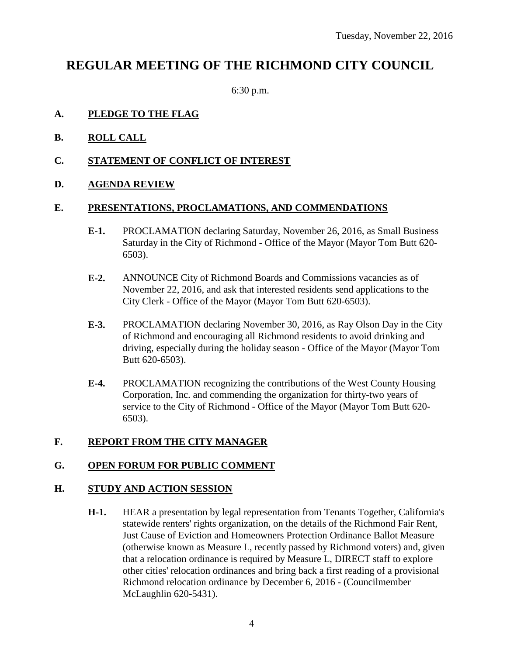## **REGULAR MEETING OF THE RICHMOND CITY COUNCIL**

6:30 p.m.

#### **A. PLEDGE TO THE FLAG**

- **B. ROLL CALL**
- **C. STATEMENT OF CONFLICT OF INTEREST**

#### **D. AGENDA REVIEW**

#### **E. PRESENTATIONS, PROCLAMATIONS, AND COMMENDATIONS**

- **E-1.** PROCLAMATION declaring Saturday, November 26, 2016, as Small Business Saturday in the City of Richmond - Office of the Mayor (Mayor Tom Butt 620- 6503).
- **E-2.** ANNOUNCE City of Richmond Boards and Commissions vacancies as of November 22, 2016, and ask that interested residents send applications to the City Clerk - Office of the Mayor (Mayor Tom Butt 620-6503).
- **E-3.** PROCLAMATION declaring November 30, 2016, as Ray Olson Day in the City of Richmond and encouraging all Richmond residents to avoid drinking and driving, especially during the holiday season - Office of the Mayor (Mayor Tom Butt 620-6503).
- **E-4.** PROCLAMATION recognizing the contributions of the West County Housing Corporation, Inc. and commending the organization for thirty-two years of service to the City of Richmond - Office of the Mayor (Mayor Tom Butt 620- 6503).

#### **F. REPORT FROM THE CITY MANAGER**

#### **G. OPEN FORUM FOR PUBLIC COMMENT**

#### **H. STUDY AND ACTION SESSION**

**H-1.** HEAR a presentation by legal representation from Tenants Together, California's statewide renters' rights organization, on the details of the Richmond Fair Rent, Just Cause of Eviction and Homeowners Protection Ordinance Ballot Measure (otherwise known as Measure L, recently passed by Richmond voters) and, given that a relocation ordinance is required by Measure L, DIRECT staff to explore other cities' relocation ordinances and bring back a first reading of a provisional Richmond relocation ordinance by December 6, 2016 - (Councilmember McLaughlin 620-5431).